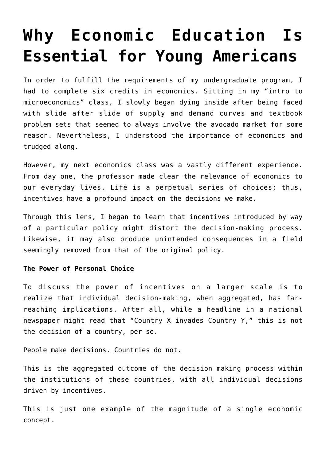# **[Why Economic Education Is](https://intellectualtakeout.org/2017/08/why-economic-education-is-essential-for-young-americans/) [Essential for Young Americans](https://intellectualtakeout.org/2017/08/why-economic-education-is-essential-for-young-americans/)**

In order to fulfill the requirements of my undergraduate program, I had to complete six credits in economics. Sitting in my "intro to microeconomics" class, I slowly began dying inside after being faced with slide after slide of supply and demand curves and textbook problem sets that seemed to always involve the avocado market for some reason. Nevertheless, I understood the importance of economics and trudged along.

However, my next economics class was a vastly different experience. From day one, the professor made clear the relevance of economics to our everyday lives. Life is a perpetual series of choices; thus, incentives have a profound impact on the decisions we make.

Through this lens, I began to learn that incentives introduced by way of a particular policy might distort the decision-making process. Likewise, it may also produce unintended consequences in a field seemingly removed from that of the original policy.

# **The Power of Personal Choice**

To discuss the power of incentives on a larger scale is to realize that individual decision-making, when aggregated, has farreaching implications. After all, while a headline in a national newspaper might read that "Country X invades Country Y," this is not the decision of a country, per se.

People make decisions. Countries do not.

This is the aggregated outcome of the decision making process within the institutions of these countries, with all individual decisions driven by incentives.

This is just one example of the magnitude of a single economic concept.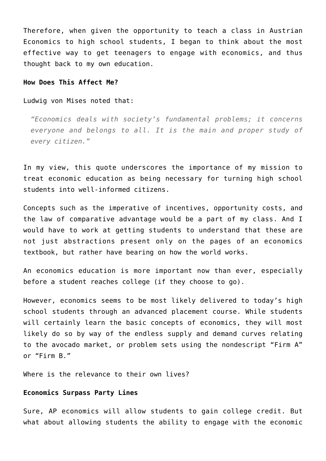Therefore, when given the opportunity to teach a class in Austrian Economics to high school students, I began to think about the most effective way to get teenagers to engage with economics, and thus thought back to my own education.

## **How Does This Affect Me?**

#### Ludwig von Mises noted that:

*"Economics deals with society's fundamental problems; it concerns everyone and belongs to all. It is the main and proper study of every citizen."*

In my view, this quote underscores the importance of my mission to treat economic education as being necessary for turning high school students into well-informed citizens.

Concepts such as the imperative of incentives, opportunity costs, and the law of comparative advantage would be a part of my class. And I would have to work at getting students to understand that these are not just abstractions present only on the pages of an economics textbook, but rather have bearing on how the world works.

An economics education is more important now than ever, especially before a student reaches college (if they choose to go).

However, economics seems to be most likely delivered to today's high school students through an advanced placement course. While students will certainly learn the basic concepts of economics, they will most likely do so by way of the endless supply and demand curves relating to the avocado market, or problem sets using the nondescript "Firm A" or "Firm B."

Where is the relevance to their own lives?

## **Economics Surpass Party Lines**

Sure, AP economics will allow students to gain college credit. But what about allowing students the ability to engage with the economic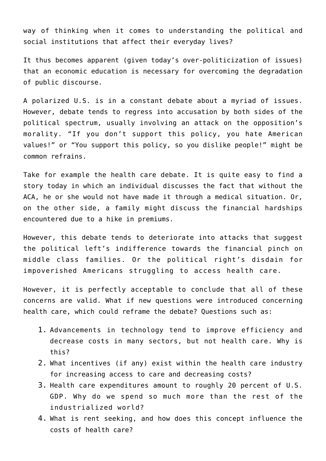way of thinking when it comes to understanding the political and social institutions that affect their everyday lives?

It thus becomes apparent (given today's over-politicization of issues) that an economic education is necessary for overcoming the degradation of public discourse.

A polarized U.S. is in a constant debate about a myriad of issues. However, debate tends to regress into accusation by both sides of the political spectrum, usually involving an attack on the opposition's morality. "If you don't support this policy, you hate American values!" or "You support this policy, so you dislike people!" might be common refrains.

Take for example the health care debate. It is quite easy to find a story today in which an individual discusses the fact that without the ACA, he or she would not have made it through a medical situation. Or, on the other side, a family might discuss the financial hardships encountered due to a hike in premiums.

However, this debate tends to deteriorate into attacks that suggest the political left's indifference towards the financial pinch on middle class families. Or the political right's disdain for impoverished Americans struggling to access health care.

However, it is perfectly acceptable to conclude that all of these concerns are valid. What if new questions were introduced concerning health care, which could reframe the debate? Questions such as:

- 1. Advancements in technology tend to improve efficiency and decrease costs in many sectors, but not health care. Why is this?
- 2. What incentives (if any) exist within the health care industry for increasing access to care and decreasing costs?
- 3. Health care expenditures amount to roughly 20 percent of U.S. GDP. Why do we spend so much more than the rest of the industrialized world?
- 4. What is rent seeking, and how does this concept influence the costs of health care?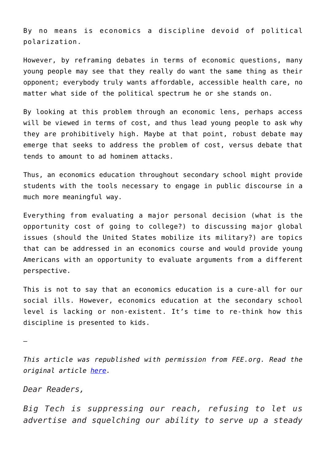By no means is economics a discipline devoid of political polarization.

However, by reframing debates in terms of economic questions, many young people may see that they really do want the same thing as their opponent; everybody truly wants affordable, accessible health care, no matter what side of the political spectrum he or she stands on.

By looking at this problem through an economic lens, perhaps access will be viewed in terms of cost, and thus lead young people to ask why they are prohibitively high. Maybe at that point, robust debate may emerge that seeks to address the problem of cost, versus debate that tends to amount to ad hominem attacks.

Thus, an economics education throughout secondary school might provide students with the tools necessary to engage in public discourse in a much more meaningful way.

Everything from evaluating a major personal decision (what is the opportunity cost of going to college?) to discussing major global issues (should the United States mobilize its military?) are topics that can be addressed in an economics course and would provide young Americans with an opportunity to evaluate arguments from a different perspective.

This is not to say that an economics education is a cure-all for our social ills. However, economics education at the secondary school level is lacking or non-existent. It's time to re-think how this discipline is presented to kids.

—

*This article was republished with permission from FEE.org. Read the original article [here](https://fee.org/articles/why-economic-education-is-essential-for-young-americans/).*

# *Dear Readers,*

*Big Tech is suppressing our reach, refusing to let us advertise and squelching our ability to serve up a steady*